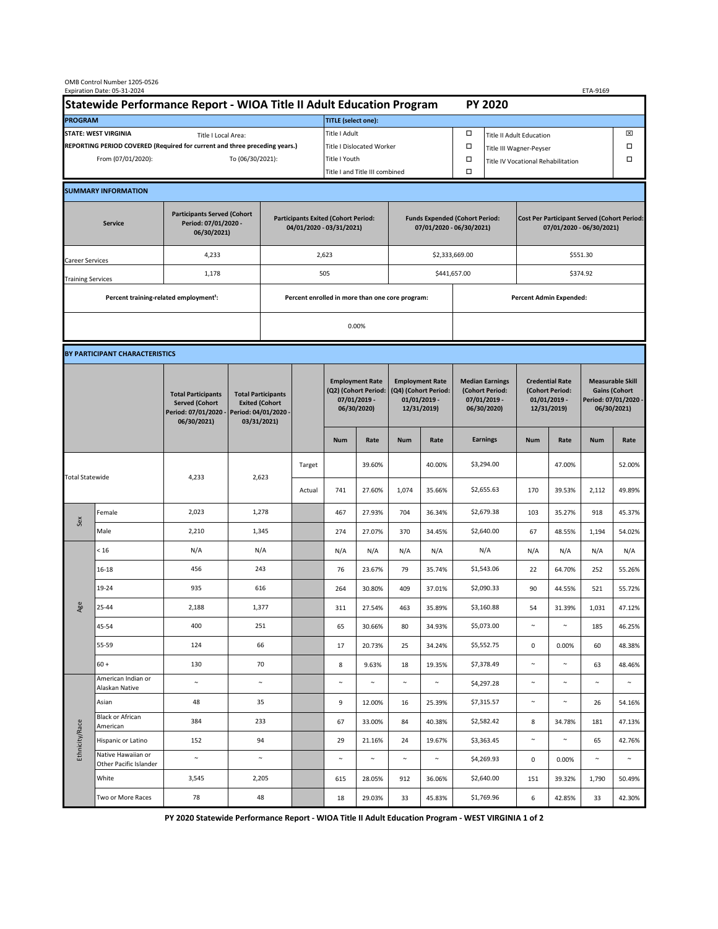|                                                                                             | OMB Control Number 1205-0526<br>Expiration Date: 05-31-2024 |                                                                                           |                                                                                           |                                                                        |        |                                                                               |                                |                                                                                 |                  |                                                                            |                                    |                                                                                |                 | ETA-9169                                                                               |                  |  |
|---------------------------------------------------------------------------------------------|-------------------------------------------------------------|-------------------------------------------------------------------------------------------|-------------------------------------------------------------------------------------------|------------------------------------------------------------------------|--------|-------------------------------------------------------------------------------|--------------------------------|---------------------------------------------------------------------------------|------------------|----------------------------------------------------------------------------|------------------------------------|--------------------------------------------------------------------------------|-----------------|----------------------------------------------------------------------------------------|------------------|--|
| Statewide Performance Report - WIOA Title II Adult Education Program                        |                                                             |                                                                                           |                                                                                           |                                                                        |        |                                                                               |                                |                                                                                 |                  | <b>PY 2020</b>                                                             |                                    |                                                                                |                 |                                                                                        |                  |  |
| <b>PROGRAM</b>                                                                              |                                                             |                                                                                           |                                                                                           |                                                                        |        | <b>TITLE</b> (select one):                                                    |                                |                                                                                 |                  |                                                                            |                                    |                                                                                |                 |                                                                                        |                  |  |
| <b>STATE: WEST VIRGINIA</b><br>Title I Local Area:                                          |                                                             |                                                                                           |                                                                                           |                                                                        |        | Title I Adult                                                                 |                                |                                                                                 |                  | □<br><b>Title II Adult Education</b>                                       |                                    |                                                                                |                 |                                                                                        | ⊠                |  |
| REPORTING PERIOD COVERED (Required for current and three preceding years.)                  |                                                             |                                                                                           |                                                                                           |                                                                        |        | <b>Title I Dislocated Worker</b>                                              |                                |                                                                                 |                  | $\Box$                                                                     | $\Box$<br>Title III Wagner-Peyser  |                                                                                |                 |                                                                                        |                  |  |
| From (07/01/2020):                                                                          |                                                             |                                                                                           |                                                                                           | To (06/30/2021):                                                       |        |                                                                               | Title I Youth                  |                                                                                 |                  | $\Box$                                                                     | Title IV Vocational Rehabilitation |                                                                                |                 | □                                                                                      |                  |  |
|                                                                                             |                                                             |                                                                                           |                                                                                           |                                                                        |        |                                                                               | Title I and Title III combined |                                                                                 |                  | Ω                                                                          |                                    |                                                                                |                 |                                                                                        |                  |  |
|                                                                                             | <b>SUMMARY INFORMATION</b>                                  |                                                                                           |                                                                                           |                                                                        |        |                                                                               |                                |                                                                                 |                  |                                                                            |                                    |                                                                                |                 |                                                                                        |                  |  |
| <b>Participants Served (Cohort</b><br>Period: 07/01/2020 -<br><b>Service</b><br>06/30/2021) |                                                             |                                                                                           |                                                                                           | <b>Participants Exited (Cohort Period:</b><br>04/01/2020 - 03/31/2021) |        |                                                                               |                                | <b>Funds Expended (Cohort Period:</b><br>07/01/2020 - 06/30/2021)               |                  |                                                                            |                                    | <b>Cost Per Participant Served (Cohort Period:</b><br>07/01/2020 - 06/30/2021) |                 |                                                                                        |                  |  |
| Career Services                                                                             |                                                             | 4,233                                                                                     |                                                                                           |                                                                        |        | 2,623                                                                         |                                |                                                                                 |                  | \$2,333,669.00                                                             |                                    | \$551.30                                                                       |                 |                                                                                        |                  |  |
| <b>Training Services</b>                                                                    |                                                             | 1,178                                                                                     | 505                                                                                       |                                                                        |        |                                                                               |                                |                                                                                 | \$441,657.00     |                                                                            | \$374.92                           |                                                                                |                 |                                                                                        |                  |  |
|                                                                                             | Percent training-related employment <sup>1</sup> :          |                                                                                           | Percent enrolled in more than one core program:                                           |                                                                        |        |                                                                               |                                |                                                                                 |                  |                                                                            | <b>Percent Admin Expended:</b>     |                                                                                |                 |                                                                                        |                  |  |
|                                                                                             |                                                             |                                                                                           |                                                                                           |                                                                        | 0.00%  |                                                                               |                                |                                                                                 |                  |                                                                            |                                    |                                                                                |                 |                                                                                        |                  |  |
|                                                                                             |                                                             |                                                                                           |                                                                                           |                                                                        |        |                                                                               |                                |                                                                                 |                  |                                                                            |                                    |                                                                                |                 |                                                                                        |                  |  |
|                                                                                             | BY PARTICIPANT CHARACTERISTICS                              |                                                                                           |                                                                                           |                                                                        |        |                                                                               |                                |                                                                                 |                  |                                                                            |                                    |                                                                                |                 |                                                                                        |                  |  |
|                                                                                             |                                                             | <b>Total Participants</b><br><b>Served (Cohort</b><br>Period: 07/01/2020 -<br>06/30/2021) | <b>Total Participants</b><br><b>Exited (Cohort</b><br>Period: 04/01/2020 -<br>03/31/2021) |                                                                        |        | <b>Employment Rate</b><br>(Q2) (Cohort Period:<br>07/01/2019 -<br>06/30/2020) |                                | <b>Employment Rate</b><br>(Q4) (Cohort Period:<br>$01/01/2019$ -<br>12/31/2019) |                  | <b>Median Earnings</b><br>(Cohort Period:<br>$07/01/2019 -$<br>06/30/2020) |                                    | <b>Credential Rate</b><br>(Cohort Period:<br>$01/01/2019 -$<br>12/31/2019)     |                 | <b>Measurable Skill</b><br><b>Gains (Cohort</b><br>Period: 07/01/2020 -<br>06/30/2021) |                  |  |
|                                                                                             |                                                             |                                                                                           |                                                                                           |                                                                        |        | <b>Num</b>                                                                    | Rate                           | <b>Num</b>                                                                      | Rate             |                                                                            | <b>Earnings</b>                    | <b>Num</b>                                                                     | Rate            | <b>Num</b>                                                                             | Rate             |  |
| <b>Total Statewide</b>                                                                      |                                                             |                                                                                           | 4,233<br>2,623                                                                            |                                                                        | Target |                                                                               | 39.60%                         |                                                                                 | 40.00%           |                                                                            | \$3,294.00                         |                                                                                | 47.00%          |                                                                                        | 52.00%           |  |
|                                                                                             |                                                             |                                                                                           |                                                                                           |                                                                        | Actual | 741                                                                           | 27.60%                         | 1,074                                                                           | 35.66%           |                                                                            | \$2,655.63                         | 170                                                                            | 39.53%          | 2,112                                                                                  | 49.89%           |  |
| Sex                                                                                         | Female                                                      | 2,023                                                                                     | 1,278                                                                                     |                                                                        |        | 467                                                                           | 27.93%                         | 704                                                                             | 36.34%           |                                                                            | \$2,679.38                         | 103                                                                            | 35.27%          | 918                                                                                    | 45.37%           |  |
|                                                                                             | Male                                                        | 2,210                                                                                     | 1,345                                                                                     |                                                                        |        | 274                                                                           | 27.07%                         | 370                                                                             | 34.45%           |                                                                            | \$2,640.00                         | 67                                                                             | 48.55%          | 1,194                                                                                  | 54.02%           |  |
| Age                                                                                         | < 16                                                        | N/A                                                                                       | N/A                                                                                       |                                                                        |        | N/A                                                                           | N/A                            | N/A                                                                             | N/A              |                                                                            | N/A                                | N/A                                                                            | N/A             | N/A                                                                                    | N/A              |  |
|                                                                                             | $16 - 18$                                                   | 456                                                                                       | 243                                                                                       |                                                                        |        | 76                                                                            | 23.67%                         | 79                                                                              | 35.74%           |                                                                            | \$1,543.06                         | 22                                                                             | 64.70%          | 252                                                                                    | 55.26%           |  |
|                                                                                             | 19-24                                                       | 935                                                                                       | 616                                                                                       |                                                                        |        | 264                                                                           | 30.80%                         | 409                                                                             | 37.01%           |                                                                            | \$2,090.33                         | 90                                                                             | 44.55%          | 521                                                                                    | 55.72%           |  |
|                                                                                             | 25-44                                                       | 2,188                                                                                     | 1,377                                                                                     |                                                                        |        | 311                                                                           | 27.54%                         | 463                                                                             | 35.89%           |                                                                            | \$3,160.88                         | 54                                                                             | 31.39%          | 1,031                                                                                  | 47.12%           |  |
|                                                                                             | 45-54                                                       | 400                                                                                       | 251                                                                                       |                                                                        |        | 65                                                                            | 30.66%                         | 80                                                                              | 34.93%           |                                                                            | \$5,073.00                         | $\sim$                                                                         | $\sim$          | 185                                                                                    | 46.25%           |  |
|                                                                                             | 55-59                                                       | 124                                                                                       | 66                                                                                        |                                                                        |        | 17                                                                            | 20.73%                         | 25                                                                              | 34.24%           |                                                                            | \$5,552.75                         | 0                                                                              | 0.00%           | 60                                                                                     | 48.38%           |  |
|                                                                                             | $60 +$<br>American Indian or                                | 130                                                                                       | 70                                                                                        |                                                                        |        | 8                                                                             | 9.63%                          | 18                                                                              | 19.35%           |                                                                            | \$7,378.49                         | $\sim$                                                                         | $\sim$          | 63                                                                                     | 48.46%           |  |
| Ethnicity/Race                                                                              | Alaskan Native                                              | $\sim$                                                                                    | $\sim$                                                                                    |                                                                        |        | $\sim$                                                                        | $\sim$                         | $\sim$                                                                          | $\sim$           |                                                                            | \$4,297.28                         | $\sim$                                                                         | $\sim$          | $\sim$                                                                                 | $\sim$           |  |
|                                                                                             | Asian<br><b>Black or African</b>                            | 48                                                                                        | 35                                                                                        |                                                                        |        | 9                                                                             | 12.00%                         | 16                                                                              | 25.39%           |                                                                            | \$7,315.57                         | $\sim$                                                                         | $\sim$          | 26                                                                                     | 54.16%           |  |
|                                                                                             | American                                                    | 384                                                                                       | 233                                                                                       |                                                                        |        | 67                                                                            | 33.00%                         | 84                                                                              | 40.38%           |                                                                            | \$2,582.42                         | 8                                                                              | 34.78%          | 181                                                                                    | 47.13%           |  |
|                                                                                             | Hispanic or Latino<br>Native Hawaiian or                    | 152<br>$\sim$                                                                             | 94<br>$\sim$                                                                              |                                                                        |        | 29<br>$\sim$                                                                  | 21.16%<br>$\sim$               | 24<br>$\sim$                                                                    | 19.67%<br>$\sim$ |                                                                            | \$3,363.45<br>\$4,269.93           | $\sim$<br>0                                                                    | $\sim$<br>0.00% | 65<br>$\sim$                                                                           | 42.76%<br>$\sim$ |  |
|                                                                                             | Other Pacific Islander<br>White                             | 3,545                                                                                     | 2,205                                                                                     |                                                                        |        | 615                                                                           | 28.05%                         | 912                                                                             | 36.06%           |                                                                            | \$2,640.00                         | 151                                                                            | 39.32%          | 1,790                                                                                  | 50.49%           |  |
|                                                                                             | Two or More Races                                           | 78                                                                                        | 48                                                                                        |                                                                        |        | 18                                                                            | 29.03%                         | 33                                                                              | 45.83%           |                                                                            | \$1,769.96                         | 6                                                                              | 42.85%          | 33                                                                                     | 42.30%           |  |
|                                                                                             |                                                             |                                                                                           |                                                                                           |                                                                        |        |                                                                               |                                |                                                                                 |                  |                                                                            |                                    |                                                                                |                 |                                                                                        |                  |  |

**PY 2020 Statewide Performance Report - WIOA Title II Adult Education Program - WEST VIRGINIA 1 of 2**